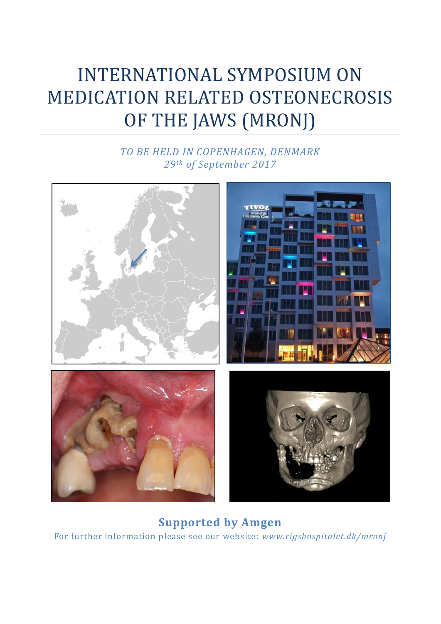# INTERNATIONAL SYMPOSIUM ON MEDICATION RELATED OSTEONECROSIS OF THE JAWS (MRONJ)

# *TO BE HELD IN COPENHAGEN, DENMARK 29th of September 2017*



**Supported by Amgen** For further information please see our website: *www.rigshospitalet.dk/mronj*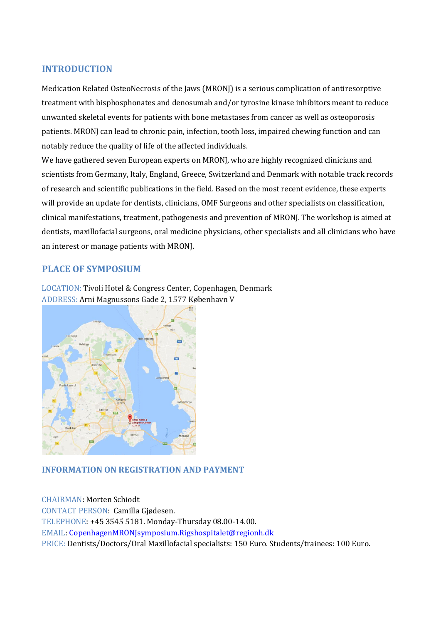## **INTRODUCTION**

Medication Related OsteoNecrosis of the Jaws (MRONJ) is a serious complication of antiresorptive treatment with bisphosphonates and denosumab and/or tyrosine kinase inhibitors meant to reduce unwanted skeletal events for patients with bone metastases from cancer as well as osteoporosis patients. MRONJ can lead to chronic pain, infection, tooth loss, impaired chewing function and can notably reduce the quality of life of the affected individuals.

We have gathered seven European experts on MRONJ, who are highly recognized clinicians and scientists from Germany, Italy, England, Greece, Switzerland and Denmark with notable track records of research and scientific publications in the field. Based on the most recent evidence, these experts will provide an update for dentists, clinicians, OMF Surgeons and other specialists on classification, clinical manifestations, treatment, pathogenesis and prevention of MRONJ. The workshop is aimed at dentists, maxillofacial surgeons, oral medicine physicians, other specialists and all clinicians who have an interest or manage patients with MRONJ.

## **PLACE OF SYMPOSIUM**

LOCATION: Tivoli Hotel & Congress Center, Copenhagen, Denmark ADDRESS: Arni Magnussons Gade 2, 1577 København V



## **INFORMATION ON REGISTRATION AND PAYMENT**

CHAIRMAN: Morten Schiodt CONTACT PERSON: Camilla Gjødesen. TELEPHONE: +45 3545 5181. Monday-Thursday 08.00-14.00. EMAIL: CopenhagenMRONJsymposium.Rigshospitalet@regionh.dk PRICE: Dentists/Doctors/Oral Maxillofacial specialists: 150 Euro. Students/trainees: 100 Euro.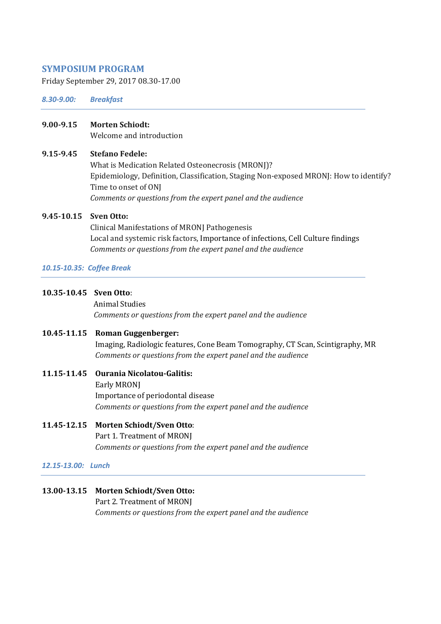#### **SYMPOSIUM PROGRAM**

Friday September 29, 2017 08.30-17.00

*8.30-9.00: Breakfast*

#### **9.00-9.15 Morten Schiodt:**

Welcome and introduction

#### **9.15-9.45 Stefano Fedele:**

What is Medication Related Osteonecrosis (MRONJ)? Epidemiology, Definition, Classification, Staging Non-exposed MRONJ: How to identify? Time to onset of ONJ *Comments or questions from the expert panel and the audience*

#### **9.45-10.15 Sven Otto:**

Clinical Manifestations of MRONJ Pathogenesis Local and systemic risk factors, Importance of infections, Cell Culture findings *Comments or questions from the expert panel and the audience*

#### *10.15-10.35: Coffee Break*

**10.35-10.45 Sven Otto**:

 Animal Studies *Comments or questions from the expert panel and the audience*

## **10.45-11.15 Roman Guggenberger:**

Imaging, Radiologic features, Cone Beam Tomography, CT Scan, Scintigraphy, MR *Comments or questions from the expert panel and the audience*

## **11.15-11.45 Ourania Nicolatou-Galitis:** Early MRONJ Importance of periodontal disease *Comments or questions from the expert panel and the audience*

## **11.45-12.15 Morten Schiodt/Sven Otto**: Part 1. Treatment of MRONJ *Comments or questions from the expert panel and the audience*

#### *12.15-13.00: Lunch*

## **13.00-13.15 Morten Schiodt/Sven Otto:**

Part 2. Treatment of MRONJ *Comments or questions from the expert panel and the audience*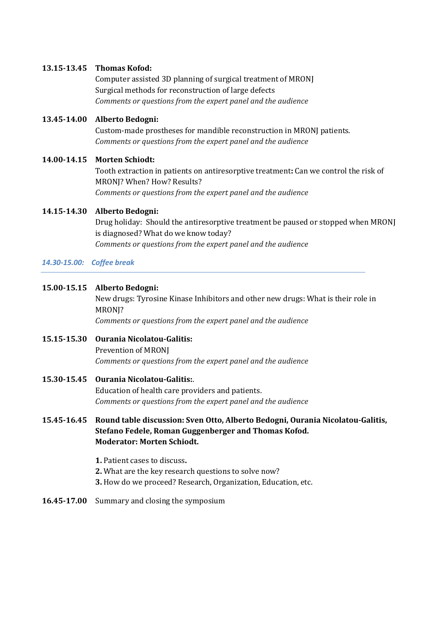#### **13.15-13.45 Thomas Kofod:**

Computer assisted 3D planning of surgical treatment of MRONJ Surgical methods for reconstruction of large defects *Comments or questions from the expert panel and the audience*

#### **13.45-14.00 Alberto Bedogni:**

Custom-made prostheses for mandible reconstruction in MRONJ patients. *Comments or questions from the expert panel and the audience*

#### **14.00-14.15 Morten Schiodt:**

Tooth extraction in patients on antiresorptive treatment**:** Can we control the risk of MRONJ? When? How? Results? *Comments or questions from the expert panel and the audience*

#### **14.15-14.30 Alberto Bedogni:**

Drug holiday: Should the antiresorptive treatment be paused or stopped when MRONJ is diagnosed? What do we know today? *Comments or questions from the expert panel and the audience*

#### *14.30-15.00: Coffee break*

#### **15.00-15.15 Alberto Bedogni:**

New drugs: Tyrosine Kinase Inhibitors and other new drugs: What is their role in MRONI?

*Comments or questions from the expert panel and the audience*

## **15.15-15.30 Ourania Nicolatou-Galitis:**  Prevention of MRONJ *Comments or questions from the expert panel and the audience*

## **15.30-15.45 Ourania Nicolatou-Galitis:**. Education of health care providers and patients. *Comments or questions from the expert panel and the audience*

### **15.45-16.45 Round table discussion: Sven Otto, Alberto Bedogni, Ourania Nicolatou-Galitis, Stefano Fedele, Roman Guggenberger and Thomas Kofod. Moderator: Morten Schiodt.**

- **1.** Patient cases to discuss**.**
- **2.** What are the key research questions to solve now?
- **3.** How do we proceed? Research, Organization, Education, etc.
- **16.45-17.00** Summary and closing the symposium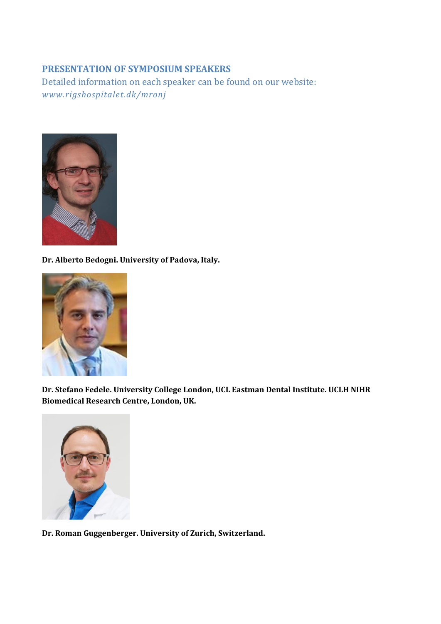## **PRESENTATION OF SYMPOSIUM SPEAKERS**

Detailed information on each speaker can be found on our website: *www.rigshospitalet.dk/mronj*



**Dr. Alberto Bedogni. University of Padova, Italy.**



**Dr. Stefano Fedele. University College London, UCL Eastman Dental Institute. UCLH NIHR Biomedical Research Centre, London, UK.** 



**Dr. Roman Guggenberger. University of Zurich, Switzerland.**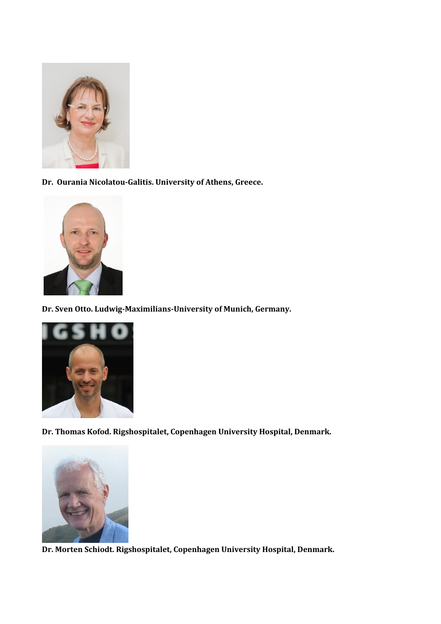

**Dr. Ourania Nicolatou-Galitis. University of Athens, Greece.**



**Dr. Sven Otto. Ludwig-Maximilians-University of Munich, Germany.**



**Dr. Thomas Kofod. Rigshospitalet, Copenhagen University Hospital, Denmark.**



**Dr. Morten Schiodt. Rigshospitalet, Copenhagen University Hospital, Denmark.**